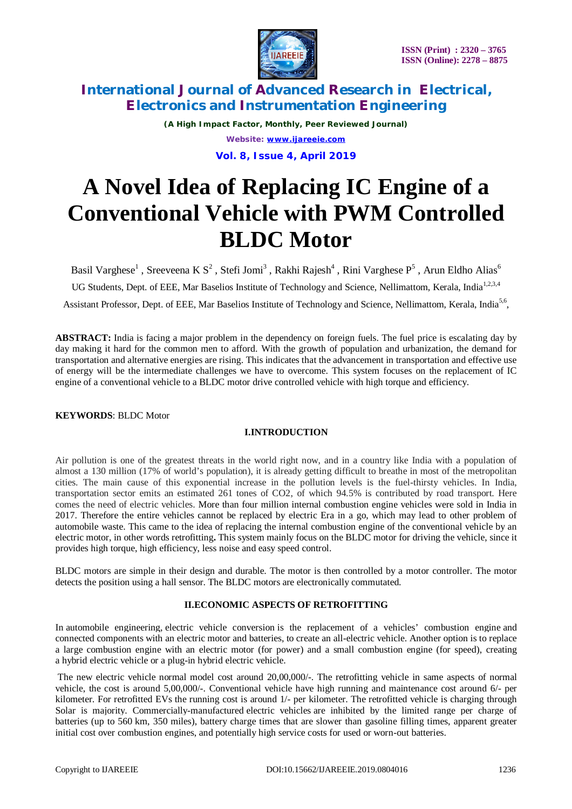

*(A High Impact Factor, Monthly, Peer Reviewed Journal) Website: [www.ijareeie.com](http://www.ijareeie.com)* **Vol. 8, Issue 4, April 2019**

# **A Novel Idea of Replacing IC Engine of a Conventional Vehicle with PWM Controlled BLDC Motor**

Basil Varghese $^1$  , Sreeveena K  $\text{S}^2$  , Stefi Jomi $^3$  , Rakhi Rajesh $^4$  , Rini Varghese  $\text{P}^5$  , Arun Eldho Alias $^6$ 

UG Students, Dept. of EEE, Mar Baselios Institute of Technology and Science, Nellimattom, Kerala, India<sup>1,2,3,4</sup>

Assistant Professor, Dept. of EEE, Mar Baselios Institute of Technology and Science, Nellimattom, Kerala, India<sup>5,6</sup>,

**ABSTRACT:** India is facing a major problem in the dependency on foreign fuels. The fuel price is escalating day by day making it hard for the common men to afford. With the growth of population and urbanization, the demand for transportation and alternative energies are rising. This indicates that the advancement in transportation and effective use of energy will be the intermediate challenges we have to overcome. This system focuses on the replacement of IC engine of a conventional vehicle to a BLDC motor drive controlled vehicle with high torque and efficiency.

### **KEYWORDS**: BLDC Motor

## **I.INTRODUCTION**

Air pollution is one of the greatest threats in the world right now, and in a country like India with a population of almost a 130 million (17% of world's population), it is already getting difficult to breathe in most of the metropolitan cities. The main cause of this exponential increase in the pollution levels is the fuel-thirsty vehicles. In India, transportation sector emits an estimated 261 tones of CO2, of which 94.5% is contributed by road transport. Here comes the need of electric vehicles. More than four million internal combustion engine vehicles were sold in India in 2017. Therefore the entire vehicles cannot be replaced by electric Era in a go, which may lead to other problem of automobile waste. This came to the idea of replacing the internal combustion engine of the conventional vehicle by an electric motor, in other words retrofitting**.** This system mainly focus on the BLDC motor for driving the vehicle, since it provides high torque, high efficiency, less noise and easy speed control.

BLDC motors are simple in their design and durable. The motor is then controlled by a motor controller. The motor detects the position using a hall sensor. The BLDC motors are electronically commutated.

### **II.ECONOMIC ASPECTS OF RETROFITTING**

In automobile engineering, electric vehicle conversion is the replacement of a vehicles' combustion engine and connected components with an electric motor and batteries, to create an all-electric vehicle. Another option is to replace a large combustion engine with an electric motor (for power) and a small combustion engine (for speed), creating a hybrid electric vehicle or a plug-in hybrid electric vehicle.

The new electric vehicle normal model cost around 20,00,000/-. The retrofitting vehicle in same aspects of normal vehicle, the cost is around 5,00,000/-. Conventional vehicle have high running and maintenance cost around 6/- per kilometer. For retrofitted EVs the running cost is around 1/- per kilometer. The retrofitted vehicle is charging through Solar is majority. Commercially-manufactured electric vehicles are inhibited by the limited range per charge of batteries (up to 560 km, 350 miles), battery charge times that are slower than gasoline filling times, apparent greater initial cost over combustion engines, and potentially high service costs for used or worn-out batteries.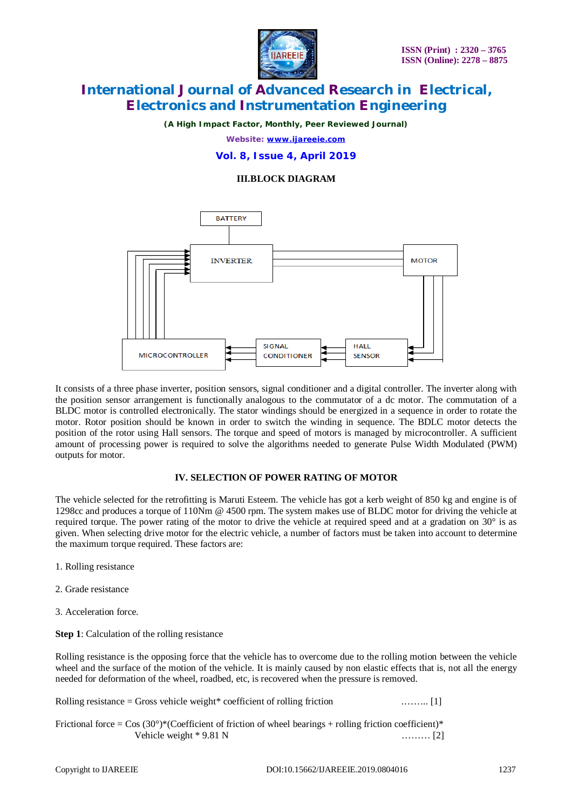

*(A High Impact Factor, Monthly, Peer Reviewed Journal)*

*Website: [www.ijareeie.com](http://www.ijareeie.com)*

**Vol. 8, Issue 4, April 2019**

### **III.BLOCK DIAGRAM**



It consists of a three phase inverter, position sensors, signal conditioner and a digital controller. The inverter along with the position sensor arrangement is functionally analogous to the commutator of a dc motor. The commutation of a BLDC motor is controlled electronically. The stator windings should be energized in a sequence in order to rotate the motor. Rotor position should be known in order to switch the winding in sequence. The BDLC motor detects the position of the rotor using Hall sensors. The torque and speed of motors is managed by microcontroller. A sufficient amount of processing power is required to solve the algorithms needed to generate Pulse Width Modulated (PWM) outputs for motor.

### **IV. SELECTION OF POWER RATING OF MOTOR**

The vehicle selected for the retrofitting is Maruti Esteem. The vehicle has got a kerb weight of 850 kg and engine is of 1298cc and produces a torque of 110Nm @ 4500 rpm. The system makes use of BLDC motor for driving the vehicle at required torque. The power rating of the motor to drive the vehicle at required speed and at a gradation on 30° is as given. When selecting drive motor for the electric vehicle, a number of factors must be taken into account to determine the maximum torque required. These factors are:

- 1. Rolling resistance
- 2. Grade resistance
- 3. Acceleration force.

**Step 1**: Calculation of the rolling resistance

Rolling resistance is the opposing force that the vehicle has to overcome due to the rolling motion between the vehicle wheel and the surface of the motion of the vehicle. It is mainly caused by non elastic effects that is, not all the energy needed for deformation of the wheel, roadbed, etc, is recovered when the pressure is removed.

Rolling resistance = Gross vehicle weight\* coefficient of rolling friction .…….. [1]

Frictional force =  $\cos(30^\circ)$ \*(Coefficient of friction of wheel bearings + rolling friction coefficient)\* Vehicle weight \* 9.81 N ……… [2]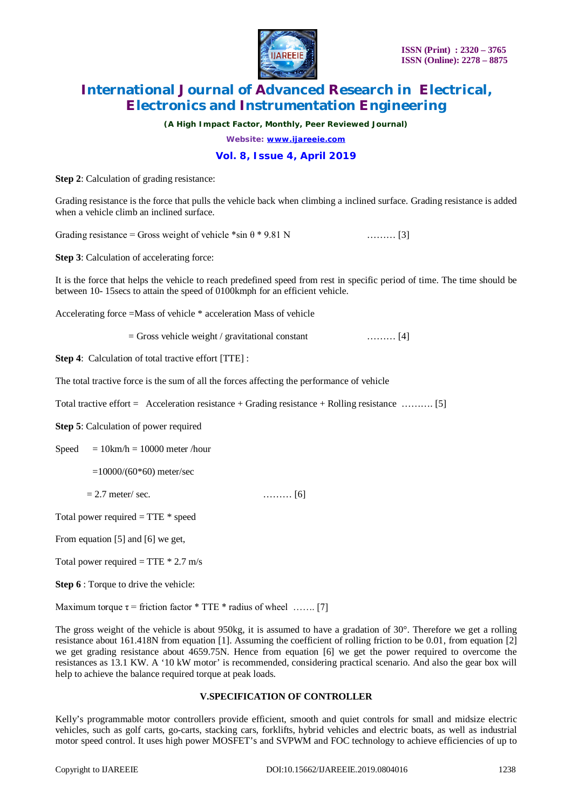

*(A High Impact Factor, Monthly, Peer Reviewed Journal)*

*Website: [www.ijareeie.com](http://www.ijareeie.com)*

### **Vol. 8, Issue 4, April 2019**

**Step 2**: Calculation of grading resistance:

Grading resistance is the force that pulls the vehicle back when climbing a inclined surface. Grading resistance is added when a vehicle climb an inclined surface.

Grading resistance = Gross weight of vehicle  $*\sin \theta * 9.81 \text{ N}$  ……… [3]

**Step 3**: Calculation of accelerating force:

It is the force that helps the vehicle to reach predefined speed from rest in specific period of time. The time should be between 10- 15secs to attain the speed of 0100kmph for an efficient vehicle.

Accelerating force =Mass of vehicle \* acceleration Mass of vehicle

 $=$  Gross vehicle weight / gravitational constant ……… [4]

**Step 4:** Calculation of total tractive effort [TTE] :

The total tractive force is the sum of all the forces affecting the performance of vehicle

Total tractive effort =  $\Delta$ cceleration resistance + Grading resistance + Rolling resistance  $\dots$ 

**Step 5**: Calculation of power required

Speed  $= 10$ km/h  $= 10000$  meter /hour

 $=10000/(60*60)$  meter/sec

 $= 2.7$  meter/ sec. [6]

Total power required = TTE \* speed

From equation [5] and [6] we get,

Total power required  $=$  TTE  $*$  2.7 m/s

**Step 6** : Torque to drive the vehicle:

Maximum torque  $\tau$  = friction factor \* TTE \* radius of wheel ……. [7]

The gross weight of the vehicle is about 950kg, it is assumed to have a gradation of 30°. Therefore we get a rolling resistance about 161.418N from equation [1]. Assuming the coefficient of rolling friction to be 0.01, from equation [2] we get grading resistance about 4659.75N. Hence from equation [6] we get the power required to overcome the resistances as 13.1 KW. A '10 kW motor' is recommended, considering practical scenario. And also the gear box will help to achieve the balance required torque at peak loads.

### **V.SPECIFICATION OF CONTROLLER**

Kelly's programmable motor controllers provide efficient, smooth and quiet controls for small and midsize electric vehicles, such as golf carts, go-carts, stacking cars, forklifts, hybrid vehicles and electric boats, as well as industrial motor speed control. It uses high power MOSFET's and SVPWM and FOC technology to achieve efficiencies of up to